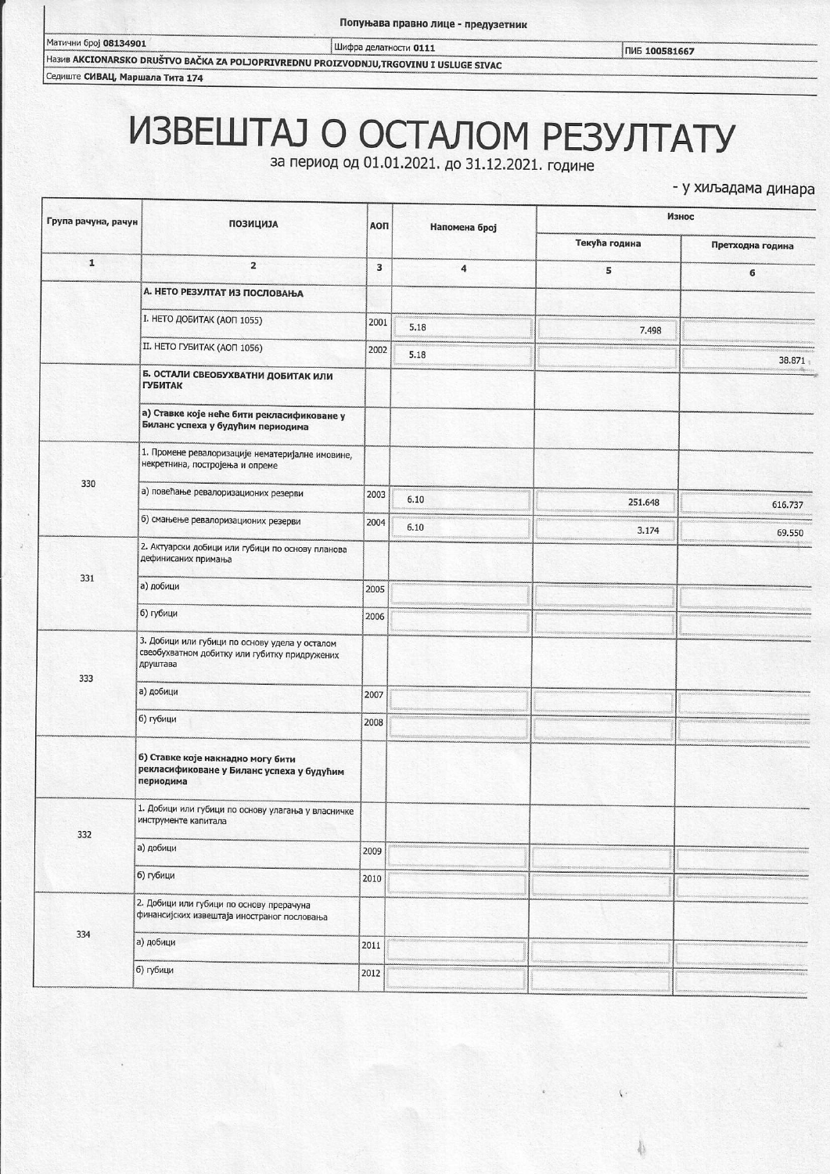Шифра делатности 0111

ПИБ 100581667

Ha3MB AKCIONARSKO DRUŠTVO BAČKA ZA POLJOPRIVREDNU PROIZVODNJU,TRGOVINU I USLUGE SIVAC Седиште СИВАЦ, Маршала Тита 174

## ИЗВЕШТАЈ О ОСТАЛОМ РЕЗУЛТАТУ

за период од 01.01.2021. до 31.12.2021. године

- у хиљадама динара

| Група рачуна, рачун | <b>ПОЗИЦИЈА</b>                                                                                             | АОП  | Напомена број        | Износ         |                  |
|---------------------|-------------------------------------------------------------------------------------------------------------|------|----------------------|---------------|------------------|
|                     |                                                                                                             |      |                      | Текућа година | Претходна година |
| $\mathbf{1}$        | $\overline{\mathbf{2}}$                                                                                     | 3    | $\ddot{\phantom{a}}$ | 5             | 6                |
|                     | А. НЕТО РЕЗУЛТАТ ИЗ ПОСЛОВАЊА                                                                               |      |                      |               |                  |
|                     | <b>I. НЕТО ДОБИТАК (АОП 1055)</b>                                                                           | 2001 | 5.18                 | 7.498         |                  |
|                     | II. HETO ГУБИТАК (АОП 1056)                                                                                 | 2002 | 5.18                 |               | 38.871           |
|                     | Б. ОСТАЛИ СВЕОБУХВАТНИ ДОБИТАК ИЛИ<br><b>ГУБИТАК</b>                                                        |      |                      |               |                  |
|                     | а) Ставке које неће бити рекласификоване у<br>Биланс успеха у будућим периодима                             |      |                      |               |                  |
| 330                 | 1. Промене ревалоризације нематеријалне имовине,<br>некретнина, постројења и опреме                         |      |                      |               |                  |
|                     | а) повећање ревалоризационих резерви                                                                        | 2003 | 6.10                 | 251.648       | 616.737          |
|                     | б) смањење ревалоризационих резерви                                                                         | 2004 | 6.10                 | 3.174         | 69.550           |
| 331                 | 2. Актуарски добици или губици по основу планова<br>дефинисаних примања                                     |      |                      |               |                  |
|                     | а) добици                                                                                                   | 2005 |                      |               |                  |
|                     | б) губици                                                                                                   | 2006 |                      |               |                  |
| 333                 | 3. Добици или губици по основу удела у осталом<br>свеобухватном добитку или губитку придружених<br>друштава |      |                      |               |                  |
|                     | а) добици                                                                                                   | 2007 |                      |               |                  |
|                     | б) губици                                                                                                   | 2008 |                      |               |                  |
|                     | 6) Ставке које накнадно могу бити<br>рекласификоване у Биланс успеха у будућим<br>периодима                 |      |                      |               |                  |
| 332                 | 1. Добици или губици по основу улагања у власничке<br>инструменте капитала                                  |      |                      |               |                  |
|                     | а) добици                                                                                                   | 2009 |                      |               |                  |
|                     | б) губици                                                                                                   | 2010 |                      |               |                  |
| 334                 | 2. Добици или губици по основу прерачуна<br>финансијских извештаја иностраног пословања                     |      |                      |               |                  |
|                     | а) добици                                                                                                   | 2011 |                      |               |                  |
|                     | б) губици                                                                                                   | 2012 |                      |               |                  |